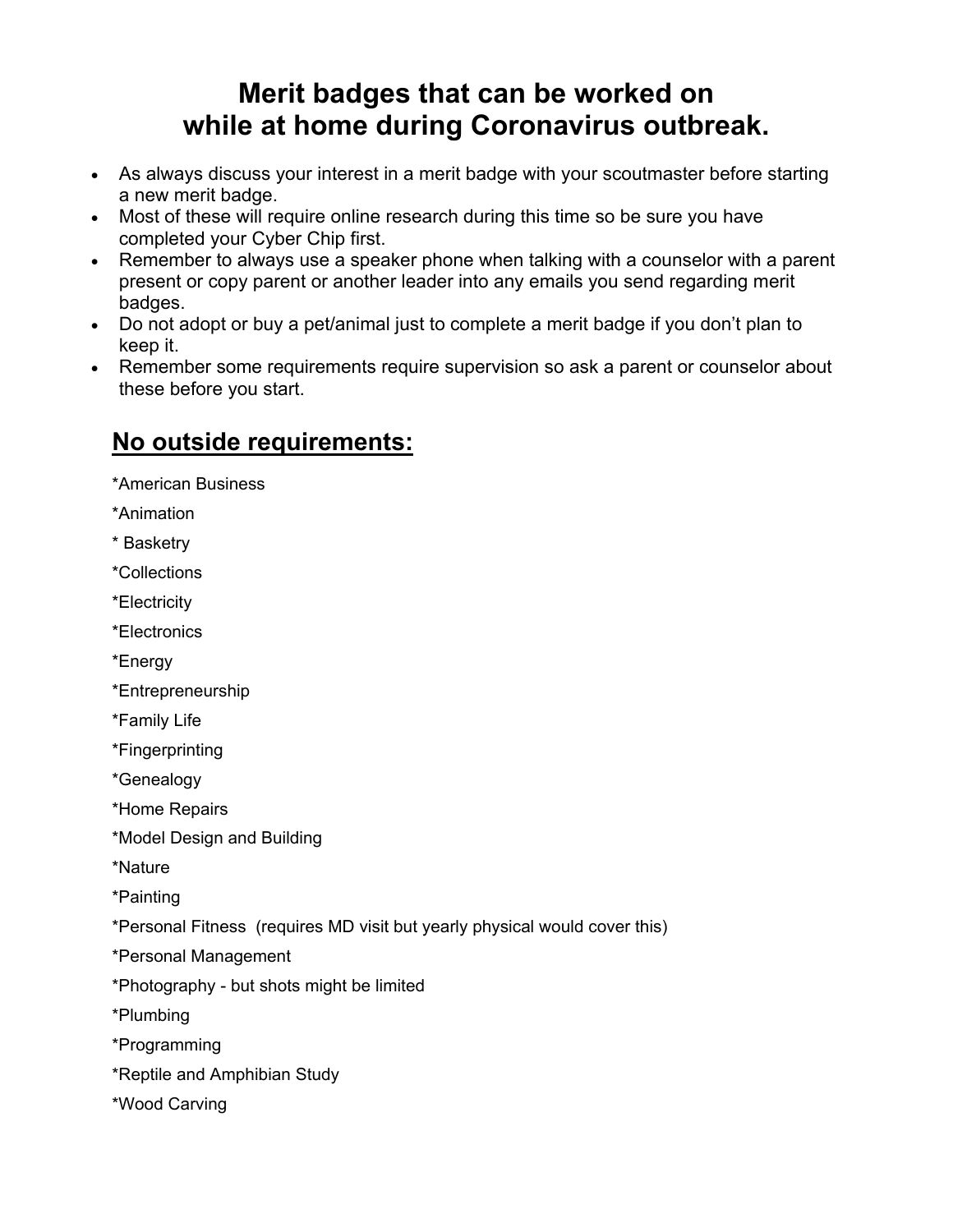# **Merit badges that can be worked on while at home during Coronavirus outbreak.**

- As always discuss your interest in a merit badge with your scoutmaster before starting a new merit badge.
- Most of these will require online research during this time so be sure you have completed your Cyber Chip first.
- Remember to always use a speaker phone when talking with a counselor with a parent present or copy parent or another leader into any emails you send regarding merit badges.
- Do not adopt or buy a pet/animal just to complete a merit badge if you don't plan to keep it.
- Remember some requirements require supervision so ask a parent or counselor about these before you start.

# **No outside requirements:**

- \*American Business
- \*Animation
- \* Basketry
- \*Collections
- \*Electricity
- \*Electronics
- \*Energy
- \*Entrepreneurship
- \*Family Life
- \*Fingerprinting
- \*Genealogy
- \*Home Repairs
- \*Model Design and Building
- \*Nature
- \*Painting
- \*Personal Fitness (requires MD visit but yearly physical would cover this)
- \*Personal Management
- \*Photography but shots might be limited
- \*Plumbing
- \*Programming
- \*Reptile and Amphibian Study
- \*Wood Carving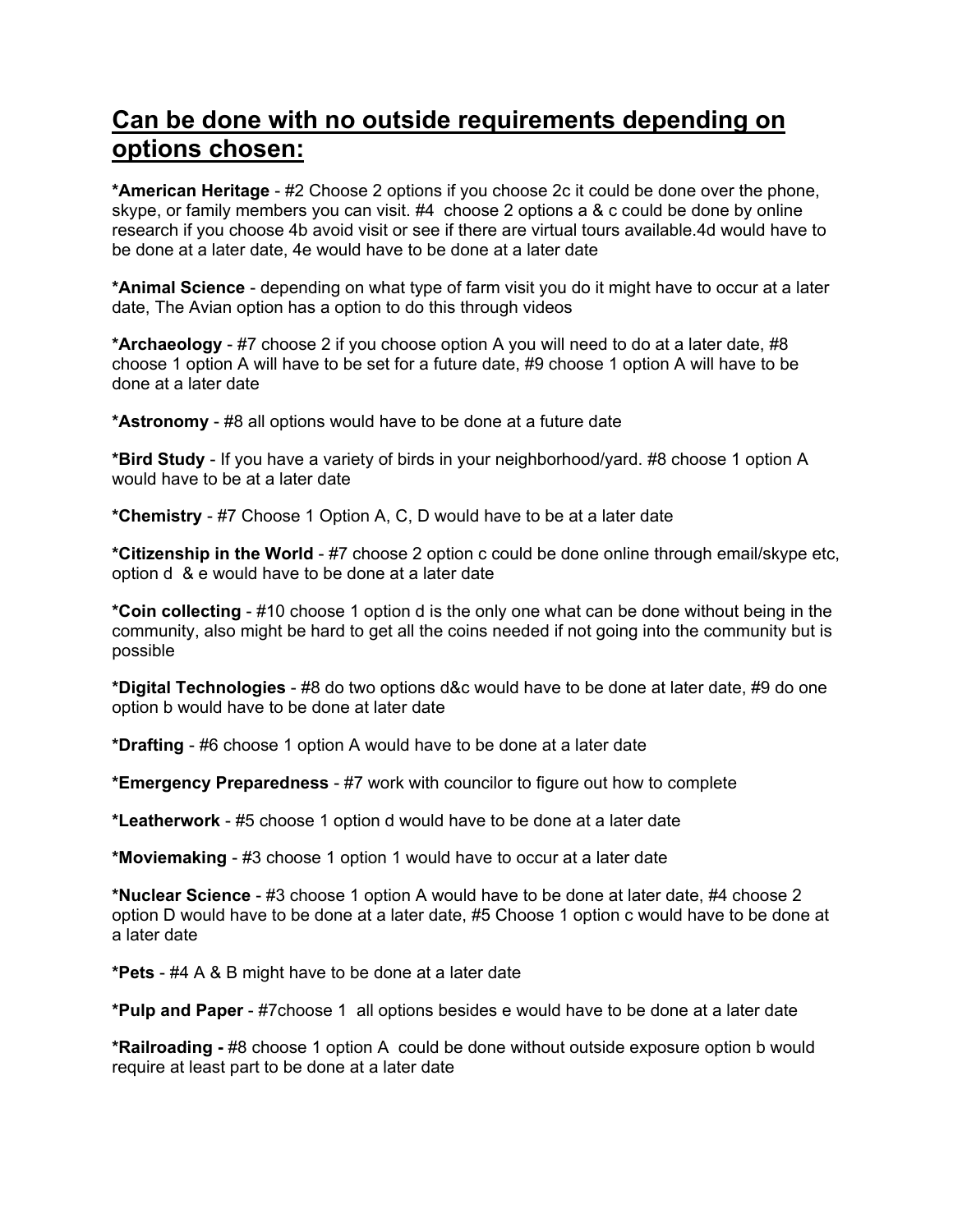## **Can be done with no outside requirements depending on options chosen:**

**\*American Heritage** - #2 Choose 2 options if you choose 2c it could be done over the phone, skype, or family members you can visit. #4 choose 2 options a & c could be done by online research if you choose 4b avoid visit or see if there are virtual tours available.4d would have to be done at a later date, 4e would have to be done at a later date

**\*Animal Science** - depending on what type of farm visit you do it might have to occur at a later date, The Avian option has a option to do this through videos

**\*Archaeology** - #7 choose 2 if you choose option A you will need to do at a later date, #8 choose 1 option A will have to be set for a future date, #9 choose 1 option A will have to be done at a later date

**\*Astronomy** - #8 all options would have to be done at a future date

**\*Bird Study** - If you have a variety of birds in your neighborhood/yard. #8 choose 1 option A would have to be at a later date

**\*Chemistry** - #7 Choose 1 Option A, C, D would have to be at a later date

**\*Citizenship in the World** - #7 choose 2 option c could be done online through email/skype etc, option d & e would have to be done at a later date

**\*Coin collecting** - #10 choose 1 option d is the only one what can be done without being in the community, also might be hard to get all the coins needed if not going into the community but is possible

**\*Digital Technologies** - #8 do two options d&c would have to be done at later date, #9 do one option b would have to be done at later date

**\*Drafting** - #6 choose 1 option A would have to be done at a later date

**\*Emergency Preparedness** - #7 work with councilor to figure out how to complete

**\*Leatherwork** - #5 choose 1 option d would have to be done at a later date

**\*Moviemaking** - #3 choose 1 option 1 would have to occur at a later date

**\*Nuclear Science** - #3 choose 1 option A would have to be done at later date, #4 choose 2 option D would have to be done at a later date, #5 Choose 1 option c would have to be done at a later date

**\*Pets** - #4 A & B might have to be done at a later date

**\*Pulp and Paper** - #7choose 1 all options besides e would have to be done at a later date

**\*Railroading -** #8 choose 1 option A could be done without outside exposure option b would require at least part to be done at a later date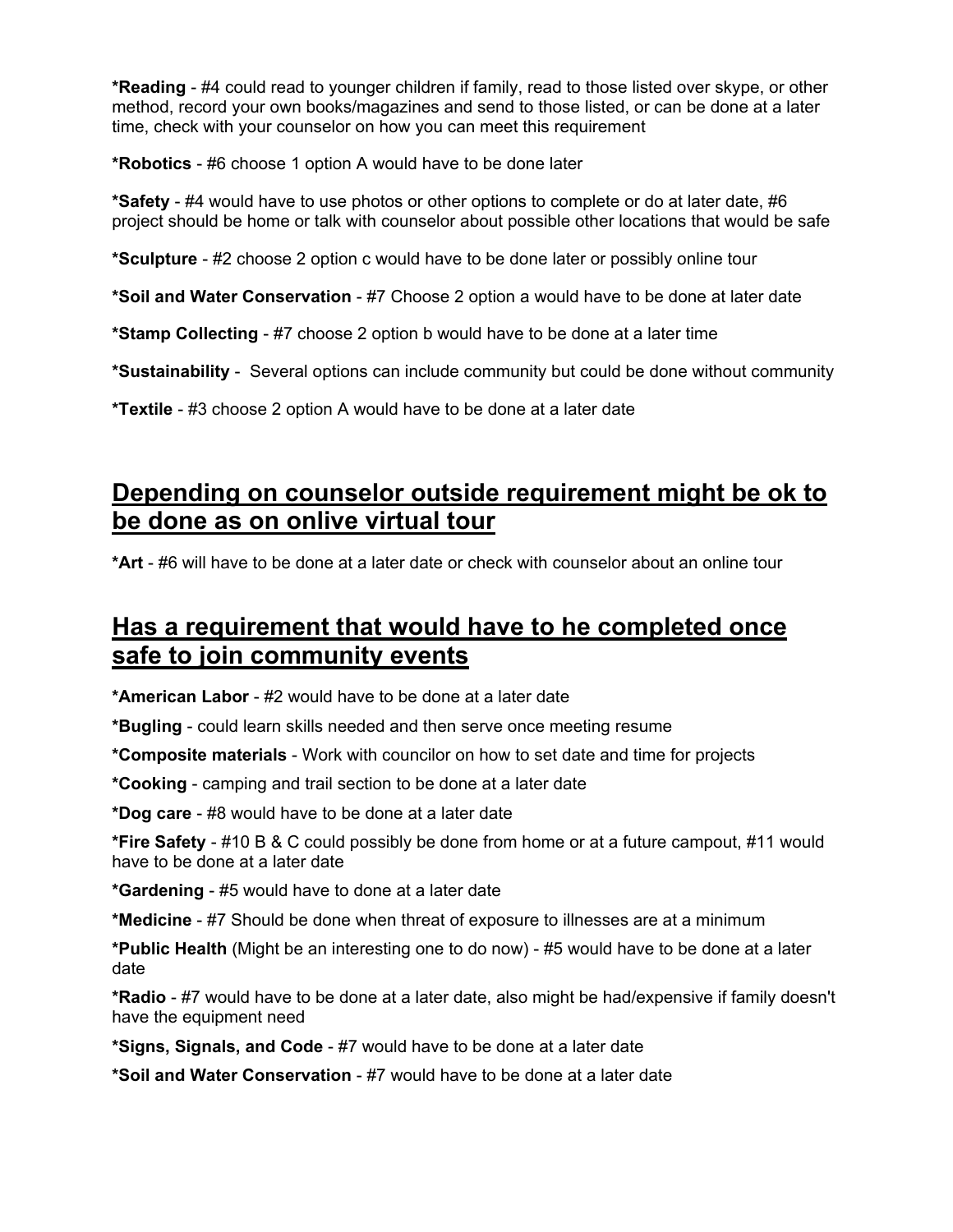**\*Reading** - #4 could read to younger children if family, read to those listed over skype, or other method, record your own books/magazines and send to those listed, or can be done at a later time, check with your counselor on how you can meet this requirement

**\*Robotics** - #6 choose 1 option A would have to be done later

**\*Safety** - #4 would have to use photos or other options to complete or do at later date, #6 project should be home or talk with counselor about possible other locations that would be safe

**\*Sculpture** - #2 choose 2 option c would have to be done later or possibly online tour

**\*Soil and Water Conservation** - #7 Choose 2 option a would have to be done at later date

**\*Stamp Collecting** - #7 choose 2 option b would have to be done at a later time

**\*Sustainability** - Several options can include community but could be done without community

**\*Textile** - #3 choose 2 option A would have to be done at a later date

### **Depending on counselor outside requirement might be ok to be done as on onlive virtual tour**

**\*Art** - #6 will have to be done at a later date or check with counselor about an online tour

### **Has a requirement that would have to he completed once safe to join community events**

**\*American Labor** - #2 would have to be done at a later date

**\*Bugling** - could learn skills needed and then serve once meeting resume

**\*Composite materials** - Work with councilor on how to set date and time for projects

**\*Cooking** - camping and trail section to be done at a later date

**\*Dog care** - #8 would have to be done at a later date

**\*Fire Safety** - #10 B & C could possibly be done from home or at a future campout, #11 would have to be done at a later date

**\*Gardening** - #5 would have to done at a later date

**\*Medicine** - #7 Should be done when threat of exposure to illnesses are at a minimum

**\*Public Health** (Might be an interesting one to do now) - #5 would have to be done at a later date

**\*Radio** - #7 would have to be done at a later date, also might be had/expensive if family doesn't have the equipment need

**\*Signs, Signals, and Code** - #7 would have to be done at a later date

**\*Soil and Water Conservation** - #7 would have to be done at a later date